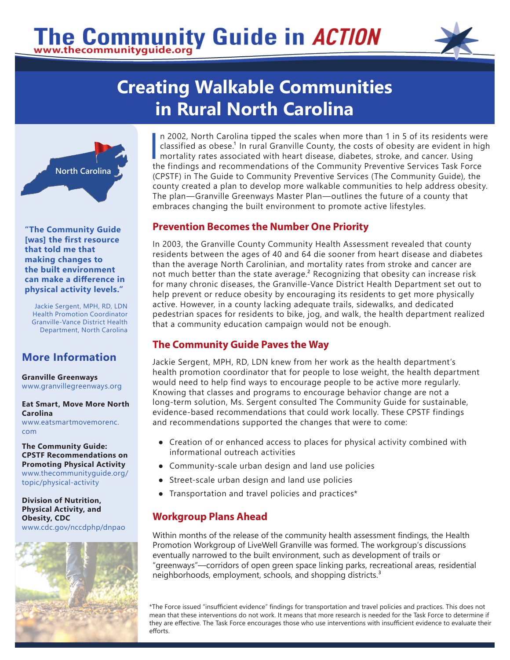# The Community Guide in ACTION



## **Creating Walkable Communities in Rural North Carolina**



**"The Community Guide [was] the first resource that told me that making changes to the built environment can make a difference in physical activity levels."**

Jackie Sergent, MPH, RD, LDN Health Promotion Coordinator Granville-Vance District Health Department, North Carolina

### **More Information**

**Granville Greenways**  [www.granvillegreenways.org](http://www.granvillegreenways.org/)

#### **Eat Smart, Move More North Carolina**

[www.eatsmartmovemorenc.](http://www.eatsmartmovemorenc.com/) [com](http://www.eatsmartmovemorenc.com/)

**The Community Guide: CPSTF Recommendations on Promoting Physical Activity** [www.thecommunityguide.org/](https://www.thecommunityguide.org/topic/physical-activity) [topic/physical-activity](https://www.thecommunityguide.org/topic/physical-activity)

**Division of Nutrition, Physical Activity, and Obesity, CDC** [www.cdc.gov/n](https://www.cdc.gov/nccdphp/dnpao/)ccdphp/dnpao



 $\frac{1}{t}$ n 2002, North Carolina tipped the scales when more than 1 in 5 of its residents were classified as obese.<sup>1</sup> In rural Granville County, the costs of obesity are evident in high mortality rates associated with heart disease, diabetes, stroke, and cancer. Using the findings and recommendations of the Community Preventive Services Task Force (CPSTF) in The Guide to Community Preventive Services (The Community Guide), the county created a plan to develop more walkable communities to help address obesity. The plan—Granville Greenways Master Plan—outlines the future of a county that embraces changing the built environment to promote active lifestyles.

#### **Prevention Becomes the Number One Priority**

In 2003, the Granville County Community Health Assessment revealed that county residents between the ages of 40 and 64 die sooner from heart disease and diabetes than the average North Carolinian, and mortality rates from stroke and cancer are not much better than the state average. $<sup>2</sup>$  Recognizing that obesity can increase risk</sup> for many chronic diseases, the Granville-Vance District Health Department set out to help prevent or reduce obesity by encouraging its residents to get more physically active. However, in a county lacking adequate trails, sidewalks, and dedicated pedestrian spaces for residents to bike, jog, and walk, the health department realized that a community education campaign would not be enough.

#### **The Community Guide Paves the Way**

Jackie Sergent, MPH, RD, LDN knew from her work as the health department's health promotion coordinator that for people to lose weight, the health department would need to help find ways to encourage people to be active more regularly. Knowing that classes and programs to encourage behavior change are not a long-term solution, Ms. Sergent consulted The Community Guide for sustainable, evidence-based recommendations that could work locally. These CPSTF findings and recommendations supported the changes that were to come:

- Creation of or enhanced access to places for physical activity combined with informational outreach activities
- Community-scale urban design and land use policies
- Street-scale urban design and land use policies
- Transportation and travel policies and practices\*

#### **Workgroup Plans Ahead**

Within months of the release of the community health assessment findings, the Health Promotion Workgroup of LiveWell Granville was formed. The workgroup's discussions eventually narrowed to the built environment, such as development of trails or "greenways"—corridors of open green space linking parks, recreational areas, residential neighborhoods, employment, schools, and shopping districts.<sup>3</sup>

\*The Force issued "insufficient evidence" findings for transportation and travel policies and practices. This does not mean that these interventions do not work. It means that more research is needed for the Task Force to determine if they are effective. The Task Force encourages those who use interventions with insufficient evidence to evaluate their efforts.